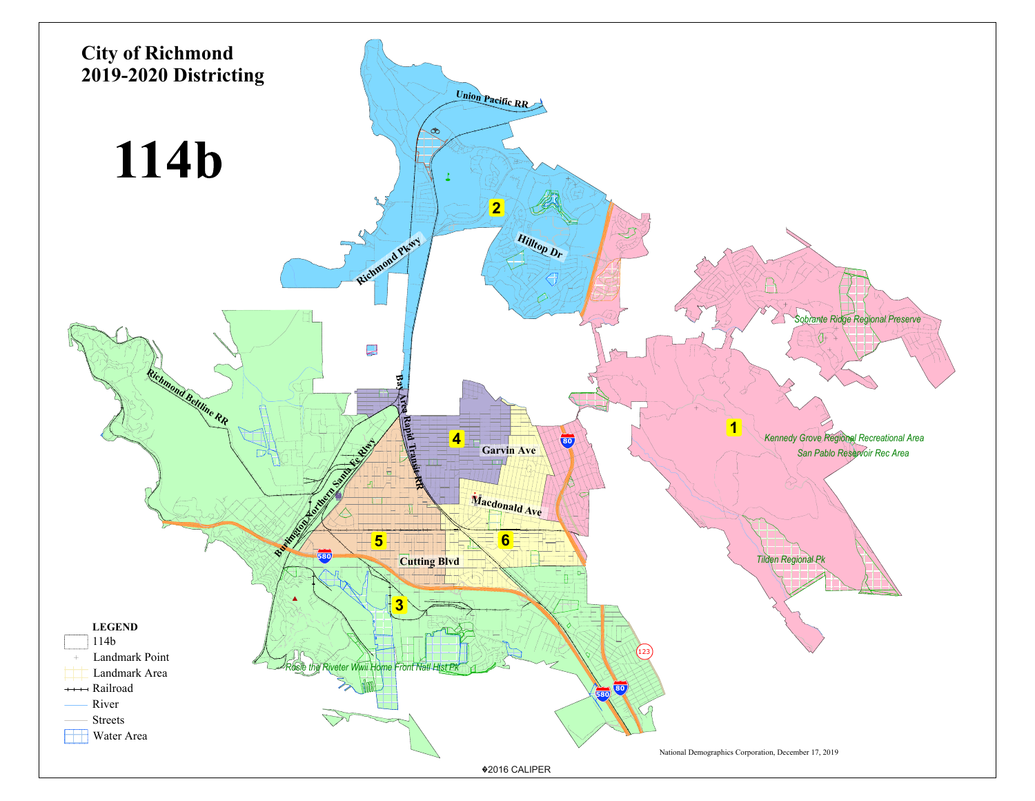